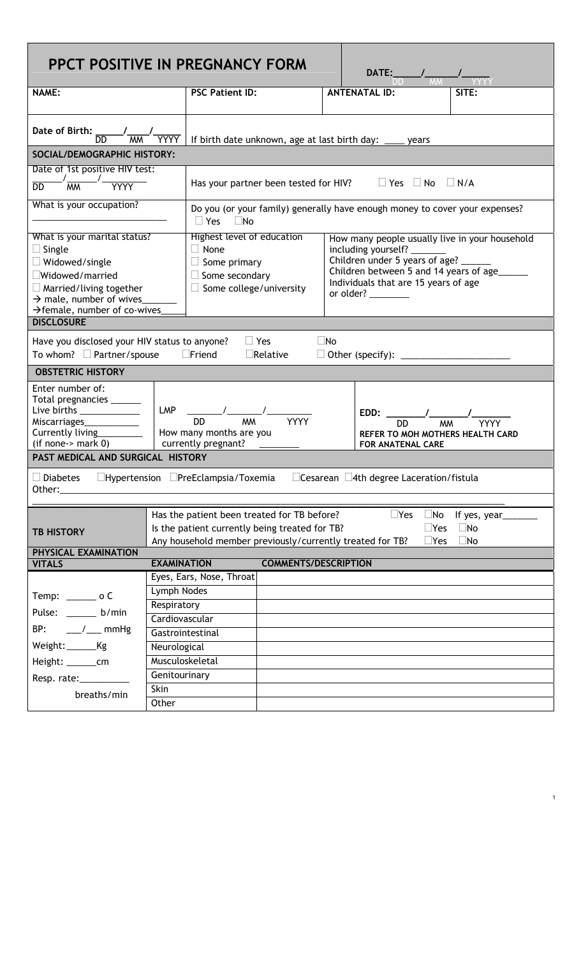| PPCT POSITIVE IN PREGNANCY FORM<br><b>DATE:</b>                                                                                                                                                                                                                                                                             |                                                                                                                                          |                                                                                                                                                                                                                                                                                                                                                            |                             |  |                         |                      |  |  |  |  |  |  |
|-----------------------------------------------------------------------------------------------------------------------------------------------------------------------------------------------------------------------------------------------------------------------------------------------------------------------------|------------------------------------------------------------------------------------------------------------------------------------------|------------------------------------------------------------------------------------------------------------------------------------------------------------------------------------------------------------------------------------------------------------------------------------------------------------------------------------------------------------|-----------------------------|--|-------------------------|----------------------|--|--|--|--|--|--|
| <b>NAME:</b>                                                                                                                                                                                                                                                                                                                |                                                                                                                                          | <b>PSC Patient ID:</b>                                                                                                                                                                                                                                                                                                                                     |                             |  | <b>ANTENATAL ID:</b>    | <b>SITE</b>          |  |  |  |  |  |  |
|                                                                                                                                                                                                                                                                                                                             |                                                                                                                                          |                                                                                                                                                                                                                                                                                                                                                            |                             |  |                         |                      |  |  |  |  |  |  |
| Date of Birth:<br>DD                                                                                                                                                                                                                                                                                                        |                                                                                                                                          | If birth date unknown, age at last birth day:<br>vears                                                                                                                                                                                                                                                                                                     |                             |  |                         |                      |  |  |  |  |  |  |
| SOCIAL/DEMOGRAPHIC HISTORY:                                                                                                                                                                                                                                                                                                 |                                                                                                                                          |                                                                                                                                                                                                                                                                                                                                                            |                             |  |                         |                      |  |  |  |  |  |  |
| Date of 1st positive HIV test:                                                                                                                                                                                                                                                                                              |                                                                                                                                          |                                                                                                                                                                                                                                                                                                                                                            |                             |  |                         |                      |  |  |  |  |  |  |
| $\sqrt{\frac{1}{MM}}$<br><b>YYYY</b>                                                                                                                                                                                                                                                                                        |                                                                                                                                          | $\Box$ Yes $\Box$ No<br>Has your partner been tested for HIV?<br>$\Box$ N/A                                                                                                                                                                                                                                                                                |                             |  |                         |                      |  |  |  |  |  |  |
| What is your occupation?                                                                                                                                                                                                                                                                                                    |                                                                                                                                          | Do you (or your family) generally have enough money to cover your expenses?<br>$\Box$ Yes $\Box$ No                                                                                                                                                                                                                                                        |                             |  |                         |                      |  |  |  |  |  |  |
| What is your marital status?<br>$\Box$ Single<br>$\Box$ Widowed/single<br>$\Box$ Widowed/married<br>$\Box$ Married/living together<br>$\rightarrow$ male, number of wives<br>$\rightarrow$ female, number of co-wives                                                                                                       |                                                                                                                                          | Highest level of education<br>How many people usually live in your household<br>$\Box$ None<br>including yourself? _______<br>Children under 5 years of age?<br>$\Box$ Some primary<br>Children between 5 and 14 years of age______<br>$\Box$ Some secondary<br>Individuals that are 15 years of age<br>$\Box$ Some college/university<br>or older? $\_\_$ |                             |  |                         |                      |  |  |  |  |  |  |
| <b>DISCLOSURE</b>                                                                                                                                                                                                                                                                                                           |                                                                                                                                          |                                                                                                                                                                                                                                                                                                                                                            |                             |  |                         |                      |  |  |  |  |  |  |
| Have you disclosed your HIV status to anyone?<br>$\Box$ Yes<br>$\Box$ No<br>To whom? $\Box$ Partner/spouse<br>$\Box$ Friend<br>$\Box$ Relative                                                                                                                                                                              |                                                                                                                                          |                                                                                                                                                                                                                                                                                                                                                            |                             |  |                         |                      |  |  |  |  |  |  |
| <b>OBSTETRIC HISTORY</b>                                                                                                                                                                                                                                                                                                    |                                                                                                                                          |                                                                                                                                                                                                                                                                                                                                                            |                             |  |                         |                      |  |  |  |  |  |  |
| Enter number of:<br>Total pregnancies ______<br>Live births $\frac{1}{2}$<br>LMP<br>EDD:<br><b>MM</b><br><b>DD</b><br>Miscarriages____________<br>DD.<br>Currently living ________<br>How many months are you<br>REFER TO MOH MOTHERS HEALTH CARD<br>$(if none->mark 0)$<br>currently pregnant?<br><b>FOR ANATENAL CARE</b> |                                                                                                                                          |                                                                                                                                                                                                                                                                                                                                                            |                             |  |                         |                      |  |  |  |  |  |  |
| PAST MEDICAL AND SURGICAL HISTORY                                                                                                                                                                                                                                                                                           |                                                                                                                                          |                                                                                                                                                                                                                                                                                                                                                            |                             |  |                         |                      |  |  |  |  |  |  |
| $\Box$ Diabetes<br>$\Box$ Hypertension $\Box$ PreEclampsia/Toxemia<br>$\Box$ Cesarean $\Box$ 4th degree Laceration/fistula<br>Other:                                                                                                                                                                                        |                                                                                                                                          |                                                                                                                                                                                                                                                                                                                                                            |                             |  |                         |                      |  |  |  |  |  |  |
|                                                                                                                                                                                                                                                                                                                             |                                                                                                                                          |                                                                                                                                                                                                                                                                                                                                                            |                             |  | $\Box$ Yes<br>$\Box$ No | If yes, year________ |  |  |  |  |  |  |
| <b>TB HISTORY</b>                                                                                                                                                                                                                                                                                                           | Has the patient been treated for TB before?<br>Is the patient currently being treated for TB?<br>$\square$ Yes<br>$\Box$ No<br>$\Box$ No |                                                                                                                                                                                                                                                                                                                                                            |                             |  |                         |                      |  |  |  |  |  |  |
| Any household member previously/currently treated for TB?<br>$\Box$ Yes<br>PHYSICAL EXAMINATION                                                                                                                                                                                                                             |                                                                                                                                          |                                                                                                                                                                                                                                                                                                                                                            |                             |  |                         |                      |  |  |  |  |  |  |
| <b>VITALS</b>                                                                                                                                                                                                                                                                                                               | <b>EXAMINATION</b>                                                                                                                       |                                                                                                                                                                                                                                                                                                                                                            | <b>COMMENTS/DESCRIPTION</b> |  |                         |                      |  |  |  |  |  |  |
|                                                                                                                                                                                                                                                                                                                             |                                                                                                                                          | Eyes, Ears, Nose, Throat                                                                                                                                                                                                                                                                                                                                   |                             |  |                         |                      |  |  |  |  |  |  |
| $Temp: \_\_\_\_o$ C                                                                                                                                                                                                                                                                                                         | Lymph Nodes                                                                                                                              |                                                                                                                                                                                                                                                                                                                                                            |                             |  |                         |                      |  |  |  |  |  |  |
| Pulse: _____ b/min                                                                                                                                                                                                                                                                                                          | Respiratory                                                                                                                              |                                                                                                                                                                                                                                                                                                                                                            |                             |  |                         |                      |  |  |  |  |  |  |
| $\angle$ / $\angle$ mmHg<br>BP:                                                                                                                                                                                                                                                                                             | Cardiovascular                                                                                                                           |                                                                                                                                                                                                                                                                                                                                                            |                             |  |                         |                      |  |  |  |  |  |  |
|                                                                                                                                                                                                                                                                                                                             | Gastrointestinal                                                                                                                         |                                                                                                                                                                                                                                                                                                                                                            |                             |  |                         |                      |  |  |  |  |  |  |
| Weight:_________Kg                                                                                                                                                                                                                                                                                                          | Neurological                                                                                                                             |                                                                                                                                                                                                                                                                                                                                                            |                             |  |                         |                      |  |  |  |  |  |  |
| Height: __________cm                                                                                                                                                                                                                                                                                                        | Musculoskeletal                                                                                                                          |                                                                                                                                                                                                                                                                                                                                                            |                             |  |                         |                      |  |  |  |  |  |  |
| Resp. rate:____________                                                                                                                                                                                                                                                                                                     | Genitourinary                                                                                                                            |                                                                                                                                                                                                                                                                                                                                                            |                             |  |                         |                      |  |  |  |  |  |  |
| breaths/min                                                                                                                                                                                                                                                                                                                 | Skin<br>Other                                                                                                                            |                                                                                                                                                                                                                                                                                                                                                            |                             |  |                         |                      |  |  |  |  |  |  |

1